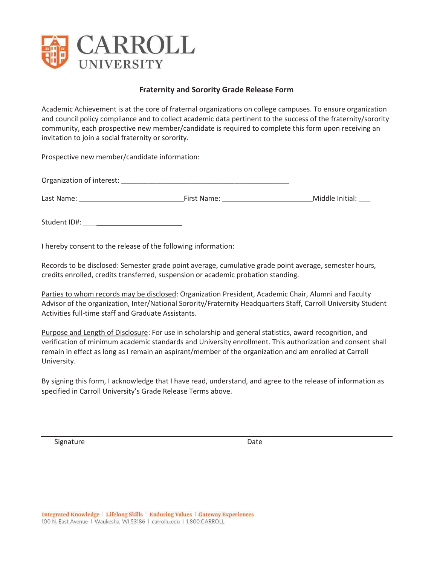

## **Fraternity and Sorority Grade Release Form**

Academic Achievement is at the core of fraternal organizations on college campuses. To ensure organization and council policy compliance and to collect academic data pertinent to the success of the fraternity/sorority community, each prospective new member/candidate is required to complete this form upon receiving an invitation to join a social fraternity or sorority.

Prospective new member/candidate information:

| Organization of interest: |  |
|---------------------------|--|
|                           |  |

Last Name: First Name: Middle Initial: \_\_\_

Student ID#: \_\_\_\_\_\_\_\_\_\_

I hereby consent to the release of the following information:

Records to be disclosed: Semester grade point average, cumulative grade point average, semester hours, credits enrolled, credits transferred, suspension or academic probation standing.

Parties to whom records may be disclosed: Organization President, Academic Chair, Alumni and Faculty Advisor of the organization, Inter/National Sorority/Fraternity Headquarters Staff, Carroll University Student Activities full-time staff and Graduate Assistants.

Purpose and Length of Disclosure: For use in scholarship and general statistics, award recognition, and verification of minimum academic standards and University enrollment. This authorization and consent shall remain in effect as long as I remain an aspirant/member of the organization and am enrolled at Carroll University.

By signing this form, I acknowledge that I have read, understand, and agree to the release of information as specified in Carroll University's Grade Release Terms above.

Signature Date Date